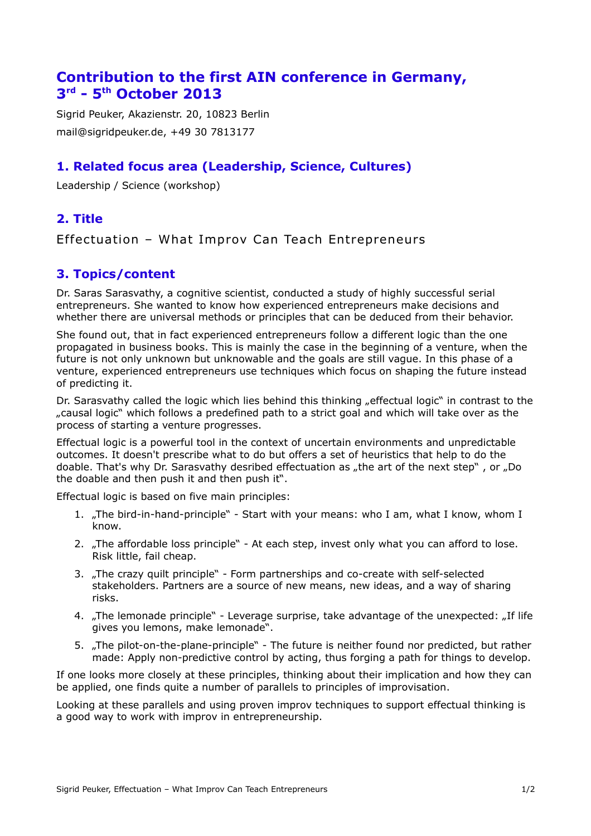# **Contribution to the first AIN conference in Germany, 3 rd - 5th October 2013**

Sigrid Peuker, Akazienstr. 20, 10823 Berlin mail@sigridpeuker.de, +49 30 7813177

# **1. Related focus area (Leadership, Science, Cultures)**

Leadership / Science (workshop)

# **2. Title**

Effectuation – What Improv Can Teach Entrepreneurs

# **3. Topics/content**

Dr. Saras Sarasvathy, a cognitive scientist, conducted a study of highly successful serial entrepreneurs. She wanted to know how experienced entrepreneurs make decisions and whether there are universal methods or principles that can be deduced from their behavior.

She found out, that in fact experienced entrepreneurs follow a different logic than the one propagated in business books. This is mainly the case in the beginning of a venture, when the future is not only unknown but unknowable and the goals are still vague. In this phase of a venture, experienced entrepreneurs use techniques which focus on shaping the future instead of predicting it.

Dr. Sarasvathy called the logic which lies behind this thinking "effectual logic" in contrast to the "causal logic" which follows a predefined path to a strict goal and which will take over as the process of starting a venture progresses.

Effectual logic is a powerful tool in the context of uncertain environments and unpredictable outcomes. It doesn't prescribe what to do but offers a set of heuristics that help to do the doable. That's why Dr. Sarasvathy desribed effectuation as "the art of the next step", or "Do the doable and then push it and then push it".

Effectual logic is based on five main principles:

- 1. "The bird-in-hand-principle" Start with your means: who I am, what I know, whom I know.
- 2. "The affordable loss principle" At each step, invest only what you can afford to lose. Risk little, fail cheap.
- 3. "The crazy quilt principle" Form partnerships and co-create with self-selected stakeholders. Partners are a source of new means, new ideas, and a way of sharing risks.
- 4. "The lemonade principle" Leverage surprise, take advantage of the unexpected: "If life gives you lemons, make lemonade".
- 5. "The pilot-on-the-plane-principle" The future is neither found nor predicted, but rather made: Apply non-predictive control by acting, thus forging a path for things to develop.

If one looks more closely at these principles, thinking about their implication and how they can be applied, one finds quite a number of parallels to principles of improvisation.

Looking at these parallels and using proven improv techniques to support effectual thinking is a good way to work with improv in entrepreneurship.